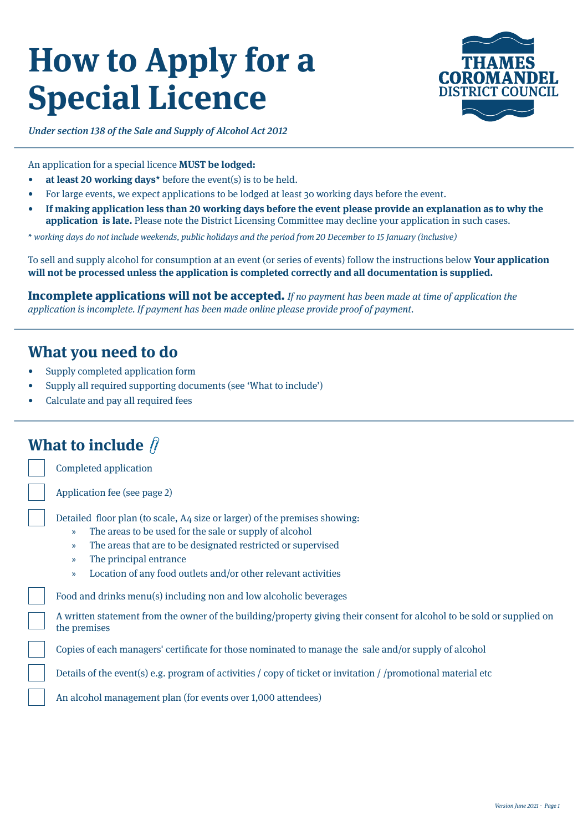# **How to Apply for a Special Licence**



Under section 138 of the Sale and Supply of Alcohol Act 2012

An application for a special licence **MUST be lodged:**

- **• at least 20 working days\*** before the event(s) is to be held.
- For large events, we expect applications to be lodged at least 30 working days before the event.
- **• If making application less than 20 working days before the event please provide an explanation as to why the application is late.** Please note the District Licensing Committee may decline your application in such cases.

\* working days do not include weekends, public holidays and the period from 20 December to 15 January (inclusive)

To sell and supply alcohol for consumption at an event (or series of events) follow the instructions below **Your application will not be processed unless the application is completed correctly and all documentation is supplied.** 

Incomplete applications will not be accepted. If no payment has been made at time of application the application is incomplete. If payment has been made online please provide proof of payment.

## **What you need to do**

- Supply completed application form
- Supply all required supporting documents (see 'What to include')
- Calculate and pay all required fees

# **What to include**

Completed application

Application fee (see page 2)

Detailed floor plan (to scale, A4 size or larger) of the premises showing:

- » The areas to be used for the sale or supply of alcohol
- » The areas that are to be designated restricted or supervised
- » The principal entrance
- » Location of any food outlets and/or other relevant activities

Food and drinks menu(s) including non and low alcoholic beverages

A written statement from the owner of the building/property giving their consent for alcohol to be sold or supplied on the premises

Copies of each managers' certificate for those nominated to manage the sale and/or supply of alcohol

Details of the event(s) e.g. program of activities / copy of ticket or invitation / /promotional material etc

An alcohol management plan (for events over 1,000 attendees)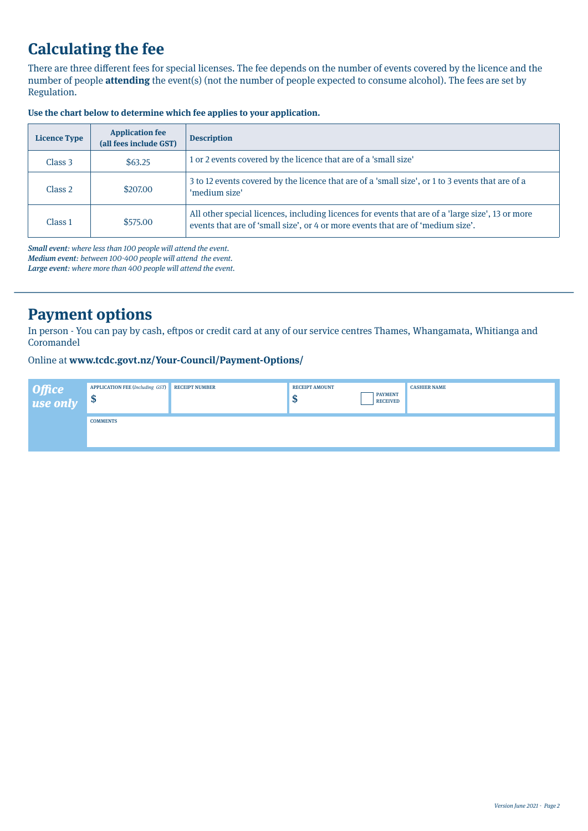# **Calculating the fee**

There are three different fees for special licenses. The fee depends on the number of events covered by the licence and the number of people **attending** the event(s) (not the number of people expected to consume alcohol). The fees are set by Regulation.

| <b>Licence Type</b> | <b>Application fee</b><br>(all fees include GST) | <b>Description</b>                                                                                                                                                                  |
|---------------------|--------------------------------------------------|-------------------------------------------------------------------------------------------------------------------------------------------------------------------------------------|
| Class 3             | \$63.25                                          | 1 or 2 events covered by the licence that are of a 'small size'                                                                                                                     |
| Class 2             | \$207.00                                         | 3 to 12 events covered by the licence that are of a 'small size', or 1 to 3 events that are of a<br>'medium size'                                                                   |
| Class <sub>1</sub>  | \$575,00                                         | All other special licences, including licences for events that are of a 'large size', 13 or more<br>events that are of 'small size', or 4 or more events that are of 'medium size'. |

## **Use the chart below to determine which fee applies to your application.**

Small event: where less than 100 people will attend the event.

Medium event: between 100-400 people will attend the event.

Large event: where more than 400 people will attend the event.

# **Payment options**

In person - You can pay by cash, eftpos or credit card at any of our service centres Thames, Whangamata, Whitianga and Coromandel

## Online at **www.tcdc.govt.nz/Your-Council/Payment-Options/**

| Office<br>  use only | <b>APPLICATION FEE (Including GST)</b><br>œ<br>- 42 | <b>RECEIPT NUMBER</b> | <b>RECEIPT AMOUNT</b><br>ND. | <b>PAYMENT</b><br><b>RECEIVED</b> | <b>CASHIER NAME</b> |
|----------------------|-----------------------------------------------------|-----------------------|------------------------------|-----------------------------------|---------------------|
|                      | <b>COMMENTS</b>                                     |                       |                              |                                   |                     |
|                      |                                                     |                       |                              |                                   |                     |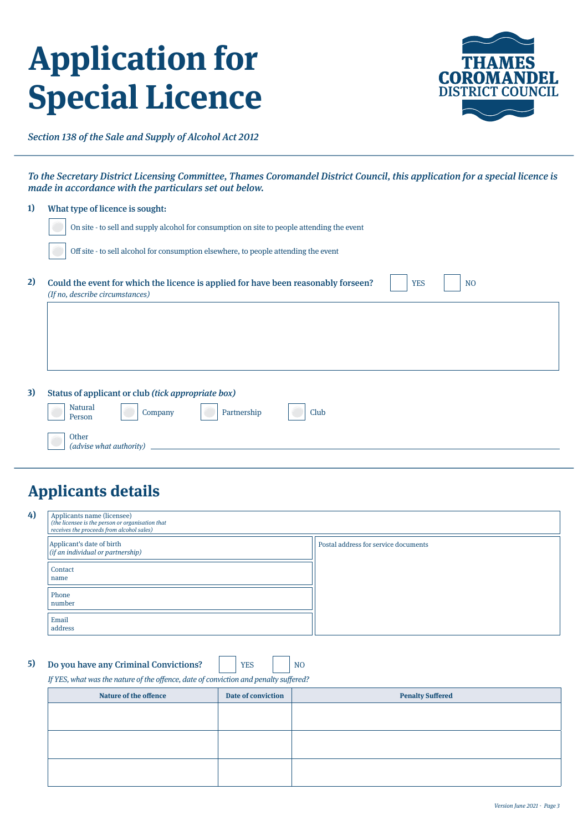# **Application for Special Licence**



Section 138 of the Sale and Supply of Alcohol Act 2012

To the Secretary District Licensing Committee, Thames Coromandel District Council, this application for a special licence is made in accordance with the particulars set out below.

| 1) | What type of licence is sought:                                                                                                                       |
|----|-------------------------------------------------------------------------------------------------------------------------------------------------------|
|    | On site - to sell and supply alcohol for consumption on site to people attending the event                                                            |
|    | Off site - to sell alcohol for consumption elsewhere, to people attending the event                                                                   |
| 2) | Could the event for which the licence is applied for have been reasonably forseen?<br><b>YES</b><br>N <sub>O</sub><br>(If no, describe circumstances) |
|    |                                                                                                                                                       |
|    |                                                                                                                                                       |
|    |                                                                                                                                                       |
| 3) | Status of applicant or club (tick appropriate box)                                                                                                    |
|    | <b>Natural</b><br>Partnership<br>Club<br>Company<br>Person                                                                                            |

# **Applicants details**

(advise what authority)

Other

| 4) | Applicants name (licensee)<br>(the licensee is the person or organisation that<br>receives the proceeds from alcohol sales) |                                      |
|----|-----------------------------------------------------------------------------------------------------------------------------|--------------------------------------|
|    | Applicant's date of birth<br>$\left $ (if an individual or partnership)                                                     | Postal address for service documents |
|    | Contact<br>name                                                                                                             |                                      |
|    | Phone<br>number                                                                                                             |                                      |
|    | Email<br>address                                                                                                            |                                      |

**5)** Do you have any Criminal Convictions? NO

YES

If YES, what was the nature of the offence, date of conviction and penalty suffered?

| Nature of the offence | Date of conviction | <b>Penalty Suffered</b> |
|-----------------------|--------------------|-------------------------|
|                       |                    |                         |
|                       |                    |                         |
|                       |                    |                         |
|                       |                    |                         |
|                       |                    |                         |
|                       |                    |                         |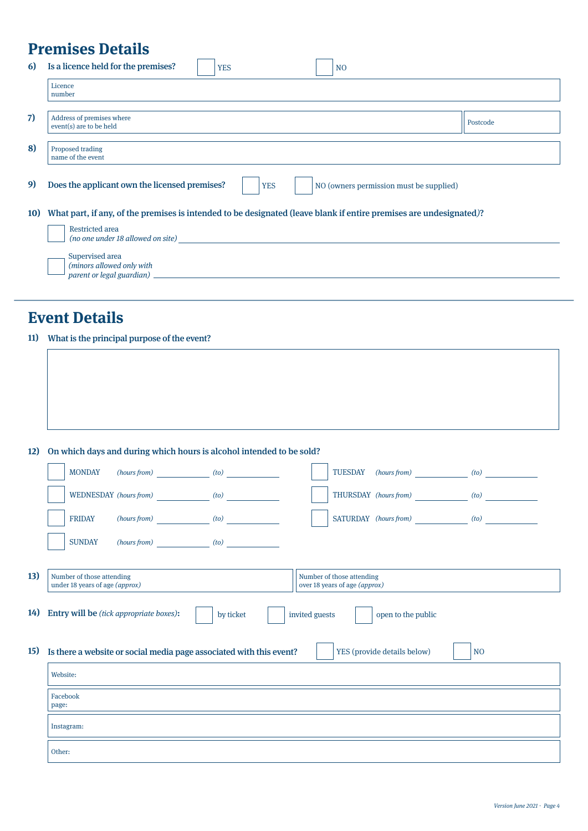# **Premises Details**

| 6)         | Is a licence held for the premises?                                                                                |  | <b>YES</b> |  | N <sub>O</sub>                          |          |
|------------|--------------------------------------------------------------------------------------------------------------------|--|------------|--|-----------------------------------------|----------|
|            | Licence<br>number                                                                                                  |  |            |  |                                         |          |
| 7)         | Address of premises where<br>event(s) are to be held                                                               |  |            |  |                                         | Postcode |
| 8)         | Proposed trading<br>name of the event                                                                              |  |            |  |                                         |          |
| 9)         | Does the applicant own the licensed premises?                                                                      |  | <b>YES</b> |  | NO (owners permission must be supplied) |          |
| <b>10)</b> | What part, if any, of the premises is intended to be designated (leave blank if entire premises are undesignated)? |  |            |  |                                         |          |
|            | <b>Restricted area</b><br>(no one under 18 allowed on site)                                                        |  |            |  |                                         |          |
|            | Supervised area<br>(minors allowed only with<br>parent or legal guardian) _                                        |  |            |  |                                         |          |
|            |                                                                                                                    |  |            |  |                                         |          |

# **Event Details**

## What is the principal purpose of the event? **11)**

| 12) | On which days and during which hours is alcohol intended to be sold?                                                      |
|-----|---------------------------------------------------------------------------------------------------------------------------|
|     | <b>MONDAY</b><br>(hours from) (to)<br>TUESDAY (hours from) (to)                                                           |
|     | WEDNESDAY (hours from) (to)<br>THURSDAY (hours from) (to)                                                                 |
|     | SATURDAY (hours from) (to)<br>$(hours from)$ $(to)$<br><b>FRIDAY</b>                                                      |
|     | $(hours from)$ $(to)$<br><b>SUNDAY</b>                                                                                    |
| 13) | Number of those attending<br>Number of those attending<br>under 18 years of age (approx)<br>over 18 years of age (approx) |
| 14) | Entry will be (tick appropriate boxes):<br>invited guests<br>open to the public<br>by ticket                              |
| 15) | Is there a website or social media page associated with this event?<br>YES (provide details below)<br>N <sub>O</sub>      |
|     | Website:                                                                                                                  |
|     | Facebook<br>page:                                                                                                         |
|     | Instagram:                                                                                                                |
|     | Other:                                                                                                                    |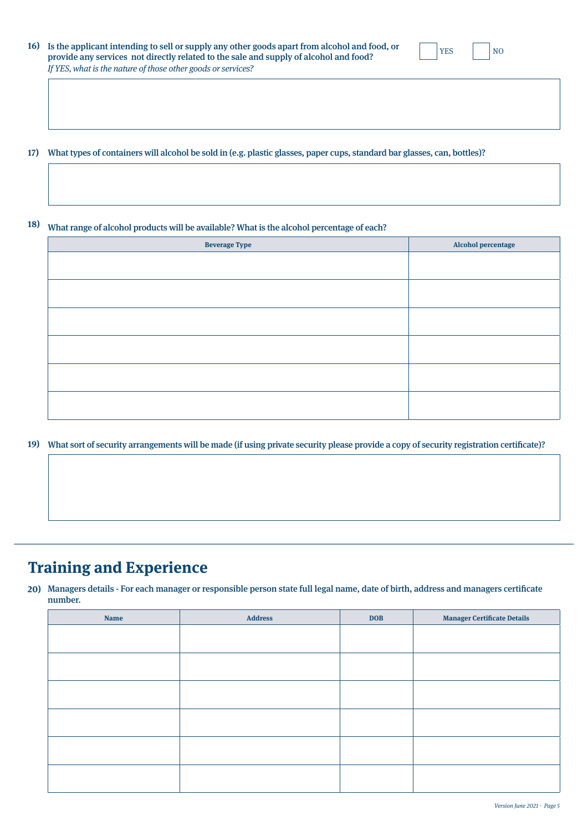| 16) Is the applicant intending to sell or supply any other goods apart from alcohol and food, or | <b>YES</b> | <b>NC</b> |
|--------------------------------------------------------------------------------------------------|------------|-----------|
| provide any services not directly related to the sale and supply of alcohol and food?            |            |           |
| If YES, what is the nature of those other goods or services?                                     |            |           |

What types of containers will alcohol be sold in (e.g. plastic glasses, paper cups, standard bar glasses, can, bottles)? **17)**

#### What range of alcohol products will be available? What is the alcohol percentage of each? **18)**

| <b>Beverage Type</b> | Alcohol percentage |
|----------------------|--------------------|
|                      |                    |
|                      |                    |
|                      |                    |
|                      |                    |
|                      |                    |
|                      |                    |
|                      |                    |
|                      |                    |
|                      |                    |
|                      |                    |
|                      |                    |
|                      |                    |

## What sort of security arrangements will be made (if using private security please provide a copy of security registration certificate)? **19)**

# **Training and Experience**

Managers details - For each manager or responsible person state full legal name, date of birth, address and managers certificate **20)** number.

| <b>Name</b> | <b>Address</b> | <b>DOB</b> | <b>Manager Certificate Details</b> |
|-------------|----------------|------------|------------------------------------|
|             |                |            |                                    |
|             |                |            |                                    |
|             |                |            |                                    |
|             |                |            |                                    |
|             |                |            |                                    |
|             |                |            |                                    |
|             |                |            |                                    |
|             |                |            |                                    |
|             |                |            |                                    |
|             |                |            |                                    |
|             |                |            |                                    |
|             |                |            |                                    |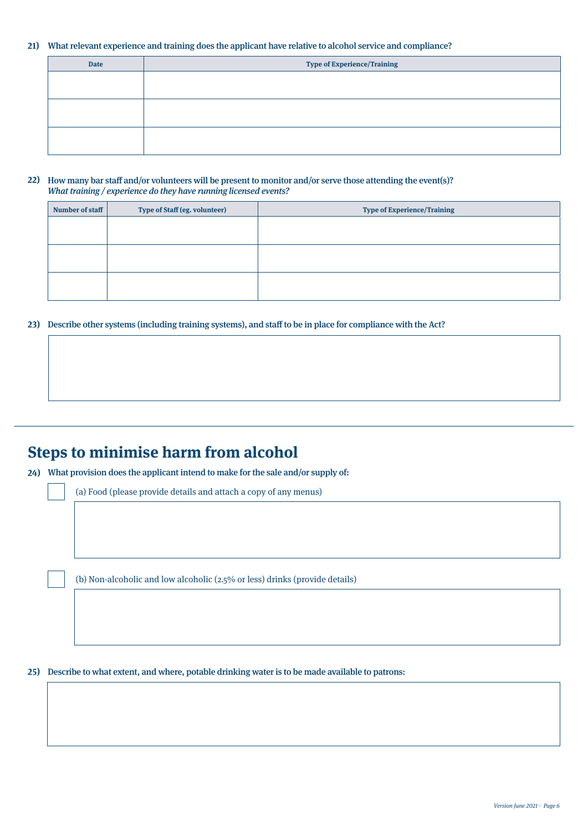### What relevant experience and training does the applicant have relative to alcohol service and compliance? **21)**

| <b>Date</b> | <b>Type of Experience/Training</b> |
|-------------|------------------------------------|
|             |                                    |
|             |                                    |
|             |                                    |
|             |                                    |
|             |                                    |
|             |                                    |
|             |                                    |

### How many bar staff and/or volunteers will be present to monitor and/or serve those attending the event(s)? **22)** What training / experience do they have running licensed events?

| Number of staff | <b>Type of Staff (eg. volunteer)</b> | <b>Type of Experience/Training</b> |
|-----------------|--------------------------------------|------------------------------------|
|                 |                                      |                                    |
|                 |                                      |                                    |
|                 |                                      |                                    |
|                 |                                      |                                    |
|                 |                                      |                                    |
|                 |                                      |                                    |

## Describe other systems (including training systems), and staff to be in place for compliance with the Act? **23)**

# **Steps to minimise harm from alcohol**

What provision does the applicant intend to make for the sale and/or supply of: **24)**

(a) Food (please provide details and attach a copy of any menus)

(b) Non-alcoholic and low alcoholic (2.5% or less) drinks (provide details)

## Describe to what extent, and where, potable drinking water is to be made available to patrons: **25)**